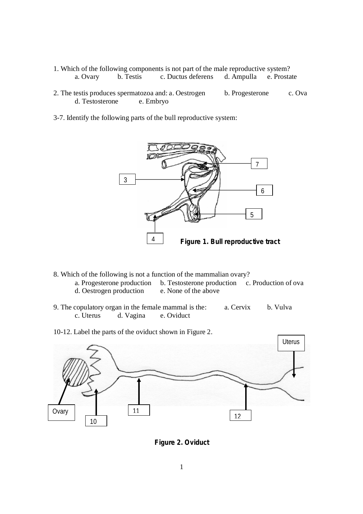- 1. Which of the following components is not part of the male reproductive system? a. Ovary b. Testis c. Ductus deferens d. Ampulla e. Prostate
- 2. The testis produces spermatozoa and: a. Oestrogen b. Progesterone c. Ova d. Testosterone e. Embryo
- 3-7. Identify the following parts of the bull reproductive system:



- 8. Which of the following is not a function of the mammalian ovary?
	- a. Progesterone production b. Testosterone production c. Production of ova<br>d. Oestrogen production e. None of the above d. Oestrogen production
- 9. The copulatory organ in the female mammal is the: a. Cervix b. Vulva c. Uterus d. Vagina e. Oviduct
- 10-12. Label the parts of the oviduct shown in Figure 2.



**Figure 2. Oviduct**